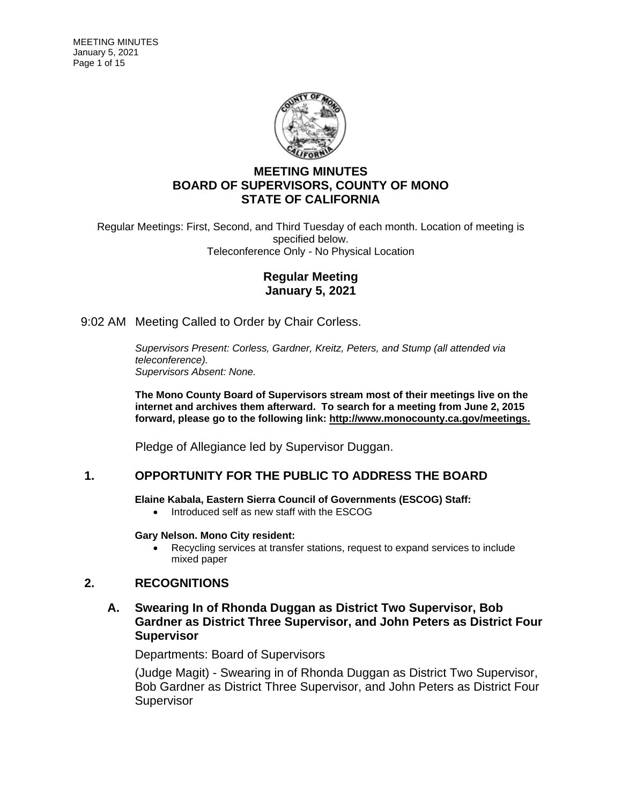

## **MEETING MINUTES BOARD OF SUPERVISORS, COUNTY OF MONO STATE OF CALIFORNIA**

Regular Meetings: First, Second, and Third Tuesday of each month. Location of meeting is specified below. Teleconference Only - No Physical Location

## **Regular Meeting January 5, 2021**

9:02 AM Meeting Called to Order by Chair Corless.

*Supervisors Present: Corless, Gardner, Kreitz, Peters, and Stump (all attended via teleconference). Supervisors Absent: None.*

**The Mono County Board of Supervisors stream most of their meetings live on the internet and archives them afterward. To search for a meeting from June 2, 2015 forward, please go to the following link: [http://www.monocounty.ca.gov/meetings.](http://www.monocounty.ca.gov/meetings)**

Pledge of Allegiance led by Supervisor Duggan.

## **1. OPPORTUNITY FOR THE PUBLIC TO ADDRESS THE BOARD**

**Elaine Kabala, Eastern Sierra Council of Governments (ESCOG) Staff:**

• Introduced self as new staff with the ESCOG

### **Gary Nelson. Mono City resident:**

• Recycling services at transfer stations, request to expand services to include mixed paper

## **2. RECOGNITIONS**

### **A. Swearing In of Rhonda Duggan as District Two Supervisor, Bob Gardner as District Three Supervisor, and John Peters as District Four Supervisor**

Departments: Board of Supervisors

(Judge Magit) - Swearing in of Rhonda Duggan as District Two Supervisor, Bob Gardner as District Three Supervisor, and John Peters as District Four **Supervisor**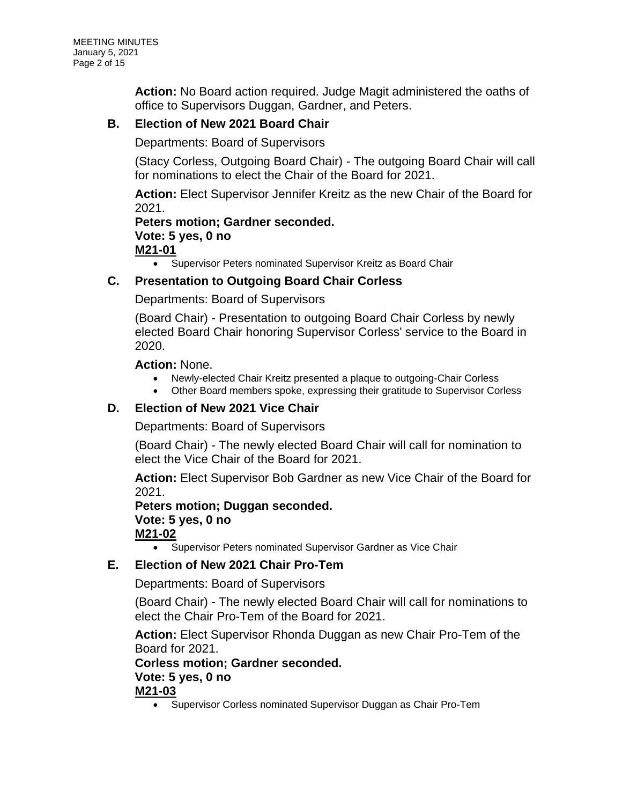**Action:** No Board action required. Judge Magit administered the oaths of office to Supervisors Duggan, Gardner, and Peters.

## **B. Election of New 2021 Board Chair**

Departments: Board of Supervisors

(Stacy Corless, Outgoing Board Chair) - The outgoing Board Chair will call for nominations to elect the Chair of the Board for 2021.

**Action:** Elect Supervisor Jennifer Kreitz as the new Chair of the Board for 2021.

# **Peters motion; Gardner seconded. Vote: 5 yes, 0 no**

**M21-01**

• Supervisor Peters nominated Supervisor Kreitz as Board Chair

### **C. Presentation to Outgoing Board Chair Corless**

Departments: Board of Supervisors

(Board Chair) - Presentation to outgoing Board Chair Corless by newly elected Board Chair honoring Supervisor Corless' service to the Board in 2020.

### **Action:** None.

- Newly-elected Chair Kreitz presented a plaque to outgoing-Chair Corless
- Other Board members spoke, expressing their gratitude to Supervisor Corless

### **D. Election of New 2021 Vice Chair**

Departments: Board of Supervisors

(Board Chair) - The newly elected Board Chair will call for nomination to elect the Vice Chair of the Board for 2021.

**Action:** Elect Supervisor Bob Gardner as new Vice Chair of the Board for 2021.

**Peters motion; Duggan seconded. Vote: 5 yes, 0 no M21-02**

• Supervisor Peters nominated Supervisor Gardner as Vice Chair

## **E. Election of New 2021 Chair Pro-Tem**

Departments: Board of Supervisors

(Board Chair) - The newly elected Board Chair will call for nominations to elect the Chair Pro-Tem of the Board for 2021.

**Action:** Elect Supervisor Rhonda Duggan as new Chair Pro-Tem of the Board for 2021.

**Corless motion; Gardner seconded.**

## **Vote: 5 yes, 0 no**

**M21-03**

• Supervisor Corless nominated Supervisor Duggan as Chair Pro-Tem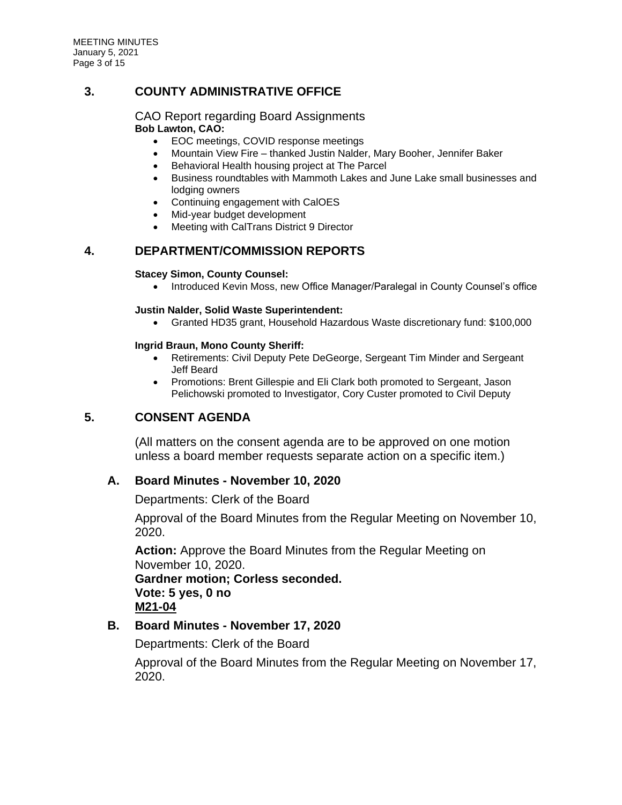MEETING MINUTES January 5, 2021 Page 3 of 15

## **3. COUNTY ADMINISTRATIVE OFFICE**

# CAO Report regarding Board Assignments

### **Bob Lawton, CAO:**

- EOC meetings, COVID response meetings
- Mountain View Fire thanked Justin Nalder, Mary Booher, Jennifer Baker
- Behavioral Health housing project at The Parcel
- Business roundtables with Mammoth Lakes and June Lake small businesses and lodging owners
- Continuing engagement with CalOES
- Mid-year budget development
- Meeting with CalTrans District 9 Director

## **4. DEPARTMENT/COMMISSION REPORTS**

#### **Stacey Simon, County Counsel:**

• Introduced Kevin Moss, new Office Manager/Paralegal in County Counsel's office

#### **Justin Nalder, Solid Waste Superintendent:**

• Granted HD35 grant, Household Hazardous Waste discretionary fund: \$100,000

#### **Ingrid Braun, Mono County Sheriff:**

- Retirements: Civil Deputy Pete DeGeorge, Sergeant Tim Minder and Sergeant Jeff Beard
- Promotions: Brent Gillespie and Eli Clark both promoted to Sergeant, Jason Pelichowski promoted to Investigator, Cory Custer promoted to Civil Deputy

## **5. CONSENT AGENDA**

(All matters on the consent agenda are to be approved on one motion unless a board member requests separate action on a specific item.)

### **A. Board Minutes - November 10, 2020**

Departments: Clerk of the Board

Approval of the Board Minutes from the Regular Meeting on November 10, 2020.

**Action:** Approve the Board Minutes from the Regular Meeting on November 10, 2020. **Gardner motion; Corless seconded. Vote: 5 yes, 0 no M21-04**

### **B. Board Minutes - November 17, 2020**

Departments: Clerk of the Board

Approval of the Board Minutes from the Regular Meeting on November 17, 2020.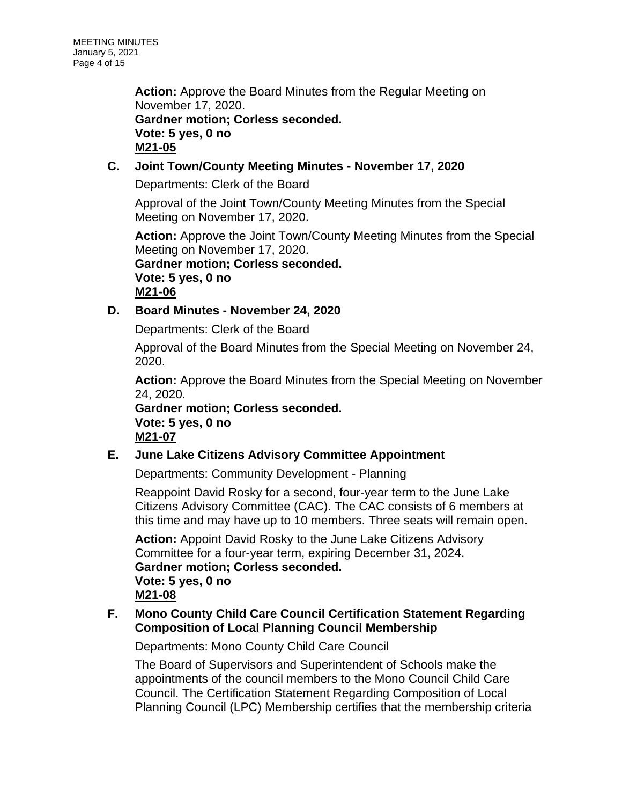**Action:** Approve the Board Minutes from the Regular Meeting on November 17, 2020. **Gardner motion; Corless seconded. Vote: 5 yes, 0 no M21-05**

## **C. Joint Town/County Meeting Minutes - November 17, 2020**

Departments: Clerk of the Board

Approval of the Joint Town/County Meeting Minutes from the Special Meeting on November 17, 2020.

**Action:** Approve the Joint Town/County Meeting Minutes from the Special Meeting on November 17, 2020.

**Gardner motion; Corless seconded. Vote: 5 yes, 0 no M21-06**

## **D. Board Minutes - November 24, 2020**

Departments: Clerk of the Board

Approval of the Board Minutes from the Special Meeting on November 24, 2020.

**Action:** Approve the Board Minutes from the Special Meeting on November 24, 2020.

**Gardner motion; Corless seconded. Vote: 5 yes, 0 no M21-07**

## **E. June Lake Citizens Advisory Committee Appointment**

Departments: Community Development - Planning

Reappoint David Rosky for a second, four-year term to the June Lake Citizens Advisory Committee (CAC). The CAC consists of 6 members at this time and may have up to 10 members. Three seats will remain open.

**Action:** Appoint David Rosky to the June Lake Citizens Advisory Committee for a four-year term, expiring December 31, 2024. **Gardner motion; Corless seconded. Vote: 5 yes, 0 no M21-08**

## **F. Mono County Child Care Council Certification Statement Regarding Composition of Local Planning Council Membership**

Departments: Mono County Child Care Council

The Board of Supervisors and Superintendent of Schools make the appointments of the council members to the Mono Council Child Care Council. The Certification Statement Regarding Composition of Local Planning Council (LPC) Membership certifies that the membership criteria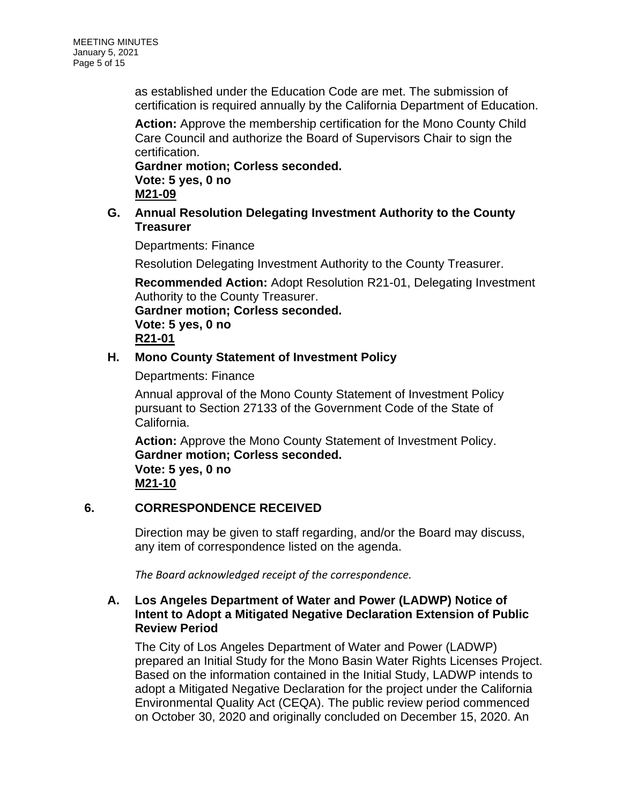as established under the Education Code are met. The submission of certification is required annually by the California Department of Education.

**Action:** Approve the membership certification for the Mono County Child Care Council and authorize the Board of Supervisors Chair to sign the certification.

**Gardner motion; Corless seconded. Vote: 5 yes, 0 no M21-09**

**G. Annual Resolution Delegating Investment Authority to the County Treasurer**

Departments: Finance

Resolution Delegating Investment Authority to the County Treasurer.

**Recommended Action:** Adopt Resolution R21-01, Delegating Investment Authority to the County Treasurer.

**Gardner motion; Corless seconded. Vote: 5 yes, 0 no R21-01**

## **H. Mono County Statement of Investment Policy**

Departments: Finance

Annual approval of the Mono County Statement of Investment Policy pursuant to Section 27133 of the Government Code of the State of California.

**Action:** Approve the Mono County Statement of Investment Policy. **Gardner motion; Corless seconded. Vote: 5 yes, 0 no M21-10**

## **6. CORRESPONDENCE RECEIVED**

Direction may be given to staff regarding, and/or the Board may discuss, any item of correspondence listed on the agenda.

*The Board acknowledged receipt of the correspondence.*

## **A. Los Angeles Department of Water and Power (LADWP) Notice of Intent to Adopt a Mitigated Negative Declaration Extension of Public Review Period**

The City of Los Angeles Department of Water and Power (LADWP) prepared an Initial Study for the Mono Basin Water Rights Licenses Project. Based on the information contained in the Initial Study, LADWP intends to adopt a Mitigated Negative Declaration for the project under the California Environmental Quality Act (CEQA). The public review period commenced on October 30, 2020 and originally concluded on December 15, 2020. An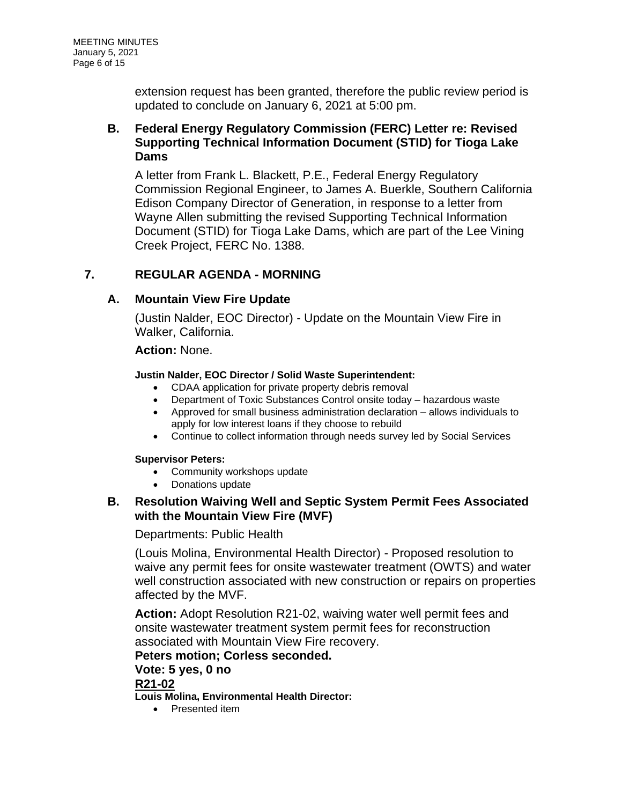extension request has been granted, therefore the public review period is updated to conclude on January 6, 2021 at 5:00 pm.

## **B. Federal Energy Regulatory Commission (FERC) Letter re: Revised Supporting Technical Information Document (STID) for Tioga Lake Dams**

A letter from Frank L. Blackett, P.E., Federal Energy Regulatory Commission Regional Engineer, to James A. Buerkle, Southern California Edison Company Director of Generation, in response to a letter from Wayne Allen submitting the revised Supporting Technical Information Document (STID) for Tioga Lake Dams, which are part of the Lee Vining Creek Project, FERC No. 1388.

## **7. REGULAR AGENDA - MORNING**

## **A. Mountain View Fire Update**

(Justin Nalder, EOC Director) - Update on the Mountain View Fire in Walker, California.

## **Action:** None.

### **Justin Nalder, EOC Director / Solid Waste Superintendent:**

- CDAA application for private property debris removal
- Department of Toxic Substances Control onsite today hazardous waste
- Approved for small business administration declaration allows individuals to apply for low interest loans if they choose to rebuild
- Continue to collect information through needs survey led by Social Services

### **Supervisor Peters:**

- Community workshops update
- Donations update

## **B. Resolution Waiving Well and Septic System Permit Fees Associated with the Mountain View Fire (MVF)**

### Departments: Public Health

(Louis Molina, Environmental Health Director) - Proposed resolution to waive any permit fees for onsite wastewater treatment (OWTS) and water well construction associated with new construction or repairs on properties affected by the MVF.

**Action:** Adopt Resolution R21-02, waiving water well permit fees and onsite wastewater treatment system permit fees for reconstruction associated with Mountain View Fire recovery.

## **Peters motion; Corless seconded.**

### **Vote: 5 yes, 0 no**

### **R21-02**

**Louis Molina, Environmental Health Director:**

• Presented item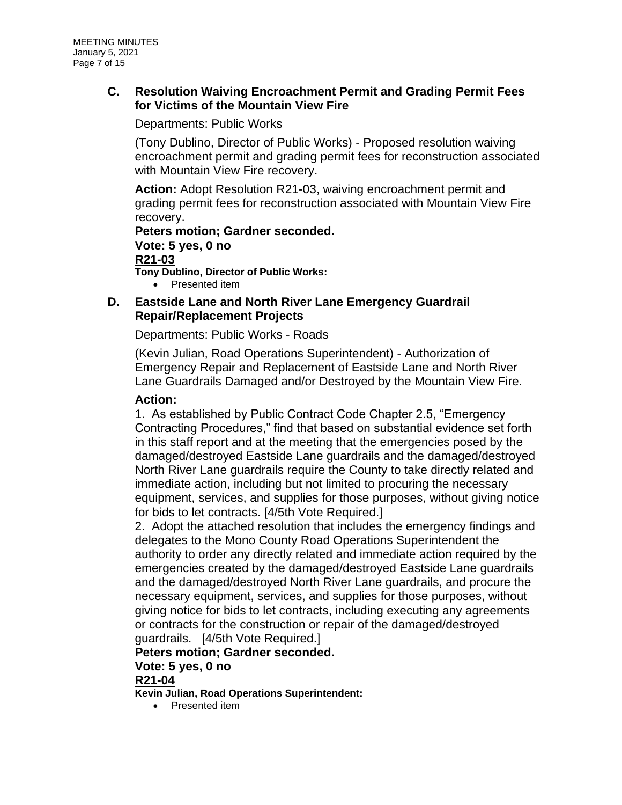## **C. Resolution Waiving Encroachment Permit and Grading Permit Fees for Victims of the Mountain View Fire**

Departments: Public Works

(Tony Dublino, Director of Public Works) - Proposed resolution waiving encroachment permit and grading permit fees for reconstruction associated with Mountain View Fire recovery.

**Action:** Adopt Resolution R21-03, waiving encroachment permit and grading permit fees for reconstruction associated with Mountain View Fire recovery.

## **Peters motion; Gardner seconded. Vote: 5 yes, 0 no**

#### **R21-03**

**Tony Dublino, Director of Public Works:**

• Presented item

### **D. Eastside Lane and North River Lane Emergency Guardrail Repair/Replacement Projects**

Departments: Public Works - Roads

(Kevin Julian, Road Operations Superintendent) - Authorization of Emergency Repair and Replacement of Eastside Lane and North River Lane Guardrails Damaged and/or Destroyed by the Mountain View Fire.

### **Action:**

1. As established by Public Contract Code Chapter 2.5, "Emergency Contracting Procedures," find that based on substantial evidence set forth in this staff report and at the meeting that the emergencies posed by the damaged/destroyed Eastside Lane guardrails and the damaged/destroyed North River Lane guardrails require the County to take directly related and immediate action, including but not limited to procuring the necessary equipment, services, and supplies for those purposes, without giving notice for bids to let contracts. [4/5th Vote Required.]

2. Adopt the attached resolution that includes the emergency findings and delegates to the Mono County Road Operations Superintendent the authority to order any directly related and immediate action required by the emergencies created by the damaged/destroyed Eastside Lane guardrails and the damaged/destroyed North River Lane guardrails, and procure the necessary equipment, services, and supplies for those purposes, without giving notice for bids to let contracts, including executing any agreements or contracts for the construction or repair of the damaged/destroyed guardrails. [4/5th Vote Required.]

## **Peters motion; Gardner seconded.**

# **Vote: 5 yes, 0 no**

## **R21-04**

**Kevin Julian, Road Operations Superintendent:**

• Presented item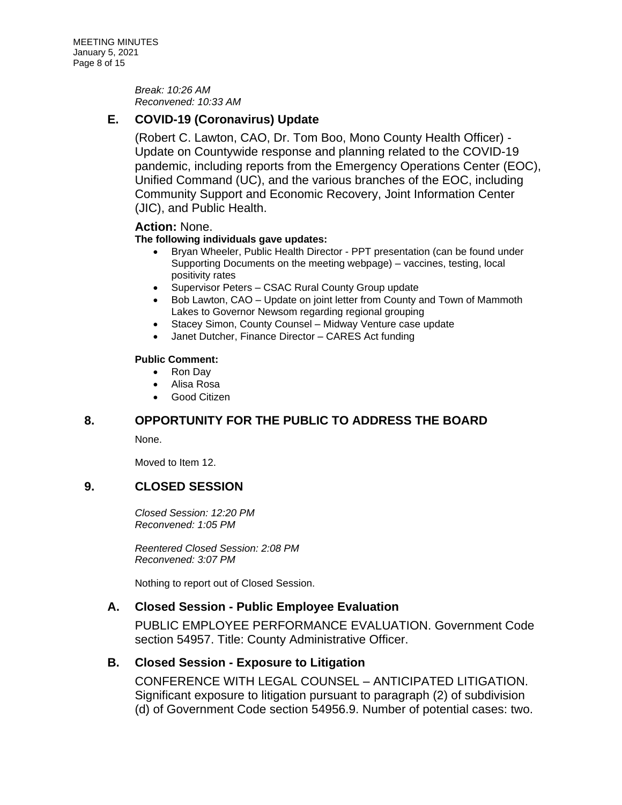*Break: 10:26 AM Reconvened: 10:33 AM*

## **E. COVID-19 (Coronavirus) Update**

(Robert C. Lawton, CAO, Dr. Tom Boo, Mono County Health Officer) - Update on Countywide response and planning related to the COVID-19 pandemic, including reports from the Emergency Operations Center (EOC), Unified Command (UC), and the various branches of the EOC, including Community Support and Economic Recovery, Joint Information Center (JIC), and Public Health.

### **Action:** None.

### **The following individuals gave updates:**

- Bryan Wheeler, Public Health Director PPT presentation (can be found under Supporting Documents on the meeting webpage) – vaccines, testing, local positivity rates
- Supervisor Peters CSAC Rural County Group update
- Bob Lawton, CAO Update on joint letter from County and Town of Mammoth Lakes to Governor Newsom regarding regional grouping
- Stacey Simon, County Counsel Midway Venture case update
- Janet Dutcher, Finance Director CARES Act funding

#### **Public Comment:**

- Ron Day
- Alisa Rosa
- Good Citizen

## **8. OPPORTUNITY FOR THE PUBLIC TO ADDRESS THE BOARD**

None.

Moved to Item 12.

## **9. CLOSED SESSION**

*Closed Session: 12:20 PM Reconvened: 1:05 PM*

*Reentered Closed Session: 2:08 PM Reconvened: 3:07 PM*

Nothing to report out of Closed Session.

### **A. Closed Session - Public Employee Evaluation**

PUBLIC EMPLOYEE PERFORMANCE EVALUATION. Government Code section 54957. Title: County Administrative Officer.

## **B. Closed Session - Exposure to Litigation**

CONFERENCE WITH LEGAL COUNSEL – ANTICIPATED LITIGATION. Significant exposure to litigation pursuant to paragraph (2) of subdivision (d) of Government Code section 54956.9. Number of potential cases: two.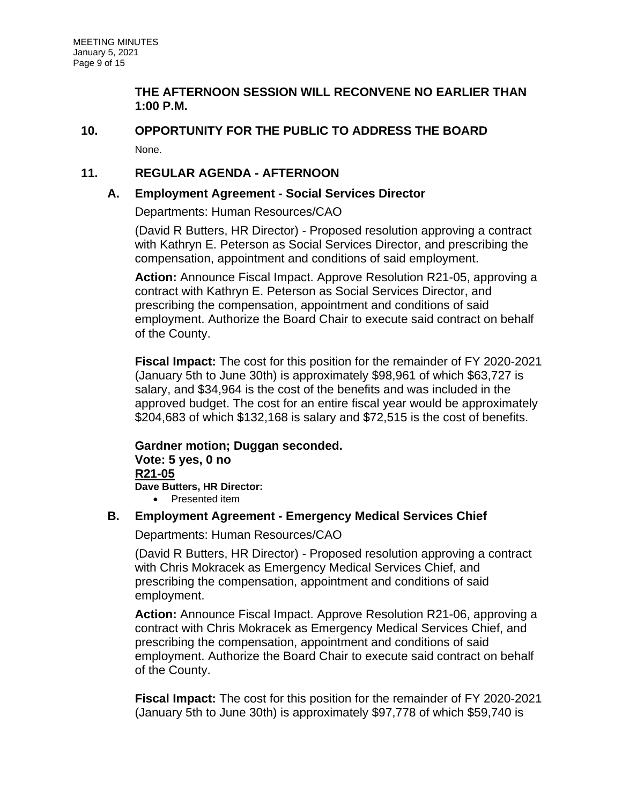## **THE AFTERNOON SESSION WILL RECONVENE NO EARLIER THAN 1:00 P.M.**

## **10. OPPORTUNITY FOR THE PUBLIC TO ADDRESS THE BOARD** None.

## **11. REGULAR AGENDA - AFTERNOON**

## **A. Employment Agreement - Social Services Director**

Departments: Human Resources/CAO

(David R Butters, HR Director) - Proposed resolution approving a contract with Kathryn E. Peterson as Social Services Director, and prescribing the compensation, appointment and conditions of said employment.

**Action:** Announce Fiscal Impact. Approve Resolution R21-05, approving a contract with Kathryn E. Peterson as Social Services Director, and prescribing the compensation, appointment and conditions of said employment. Authorize the Board Chair to execute said contract on behalf of the County.

**Fiscal Impact:** The cost for this position for the remainder of FY 2020-2021 (January 5th to June 30th) is approximately \$98,961 of which \$63,727 is salary, and \$34,964 is the cost of the benefits and was included in the approved budget. The cost for an entire fiscal year would be approximately \$204,683 of which \$132,168 is salary and \$72,515 is the cost of benefits.

### **Gardner motion; Duggan seconded. Vote: 5 yes, 0 no R21-05 Dave Butters, HR Director:**

• Presented item

## **B. Employment Agreement - Emergency Medical Services Chief**

Departments: Human Resources/CAO

(David R Butters, HR Director) - Proposed resolution approving a contract with Chris Mokracek as Emergency Medical Services Chief, and prescribing the compensation, appointment and conditions of said employment.

**Action:** Announce Fiscal Impact. Approve Resolution R21-06, approving a contract with Chris Mokracek as Emergency Medical Services Chief, and prescribing the compensation, appointment and conditions of said employment. Authorize the Board Chair to execute said contract on behalf of the County.

**Fiscal Impact:** The cost for this position for the remainder of FY 2020-2021 (January 5th to June 30th) is approximately \$97,778 of which \$59,740 is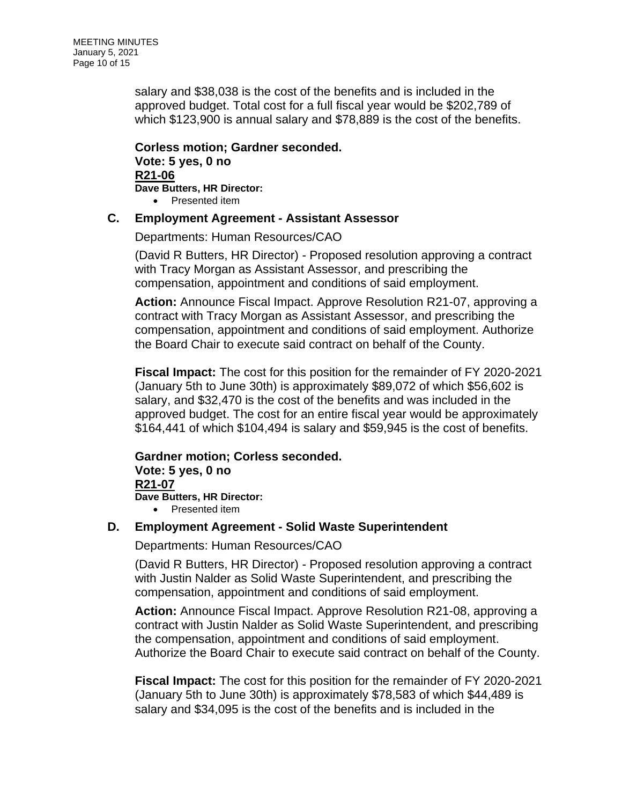salary and \$38,038 is the cost of the benefits and is included in the approved budget. Total cost for a full fiscal year would be \$202,789 of which \$123,900 is annual salary and \$78,889 is the cost of the benefits.

**Corless motion; Gardner seconded. Vote: 5 yes, 0 no R21-06 Dave Butters, HR Director:** • Presented item

### **C. Employment Agreement - Assistant Assessor**

Departments: Human Resources/CAO

(David R Butters, HR Director) - Proposed resolution approving a contract with Tracy Morgan as Assistant Assessor, and prescribing the compensation, appointment and conditions of said employment.

**Action:** Announce Fiscal Impact. Approve Resolution R21-07, approving a contract with Tracy Morgan as Assistant Assessor, and prescribing the compensation, appointment and conditions of said employment. Authorize the Board Chair to execute said contract on behalf of the County.

**Fiscal Impact:** The cost for this position for the remainder of FY 2020-2021 (January 5th to June 30th) is approximately \$89,072 of which \$56,602 is salary, and \$32,470 is the cost of the benefits and was included in the approved budget. The cost for an entire fiscal year would be approximately \$164,441 of which \$104,494 is salary and \$59,945 is the cost of benefits.

#### **Gardner motion; Corless seconded. Vote: 5 yes, 0 no R21-07 Dave Butters, HR Director:** • Presented item

## **D. Employment Agreement - Solid Waste Superintendent**

Departments: Human Resources/CAO

(David R Butters, HR Director) - Proposed resolution approving a contract with Justin Nalder as Solid Waste Superintendent, and prescribing the compensation, appointment and conditions of said employment.

**Action:** Announce Fiscal Impact. Approve Resolution R21-08, approving a contract with Justin Nalder as Solid Waste Superintendent, and prescribing the compensation, appointment and conditions of said employment. Authorize the Board Chair to execute said contract on behalf of the County.

**Fiscal Impact:** The cost for this position for the remainder of FY 2020-2021 (January 5th to June 30th) is approximately \$78,583 of which \$44,489 is salary and \$34,095 is the cost of the benefits and is included in the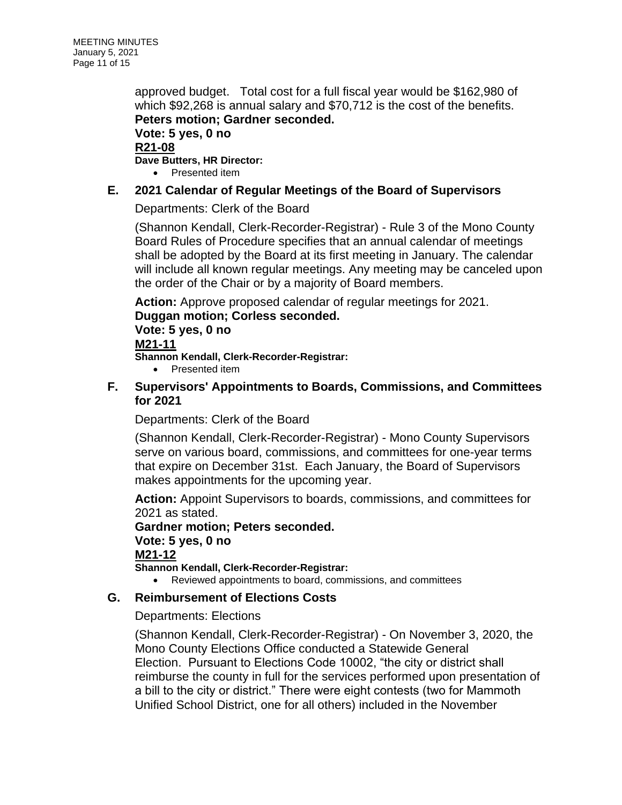approved budget. Total cost for a full fiscal year would be \$162,980 of which \$92,268 is annual salary and \$70,712 is the cost of the benefits. **Peters motion; Gardner seconded.**

**Vote: 5 yes, 0 no R21-08**

**Dave Butters, HR Director:**

• Presented item

## **E. 2021 Calendar of Regular Meetings of the Board of Supervisors**

Departments: Clerk of the Board

(Shannon Kendall, Clerk-Recorder-Registrar) - Rule 3 of the Mono County Board Rules of Procedure specifies that an annual calendar of meetings shall be adopted by the Board at its first meeting in January. The calendar will include all known regular meetings. Any meeting may be canceled upon the order of the Chair or by a majority of Board members.

**Action:** Approve proposed calendar of regular meetings for 2021. **Duggan motion; Corless seconded.**

**Vote: 5 yes, 0 no**

### **M21-11**

**Shannon Kendall, Clerk-Recorder-Registrar:**

• Presented item

## **F. Supervisors' Appointments to Boards, Commissions, and Committees for 2021**

Departments: Clerk of the Board

(Shannon Kendall, Clerk-Recorder-Registrar) - Mono County Supervisors serve on various board, commissions, and committees for one-year terms that expire on December 31st. Each January, the Board of Supervisors makes appointments for the upcoming year.

**Action:** Appoint Supervisors to boards, commissions, and committees for 2021 as stated.

**Gardner motion; Peters seconded. Vote: 5 yes, 0 no M21-12 Shannon Kendall, Clerk-Recorder-Registrar:**

• Reviewed appointments to board, commissions, and committees

## **G. Reimbursement of Elections Costs**

Departments: Elections

(Shannon Kendall, Clerk-Recorder-Registrar) - On November 3, 2020, the Mono County Elections Office conducted a Statewide General Election. Pursuant to Elections Code 10002, "the city or district shall reimburse the county in full for the services performed upon presentation of a bill to the city or district." There were eight contests (two for Mammoth Unified School District, one for all others) included in the November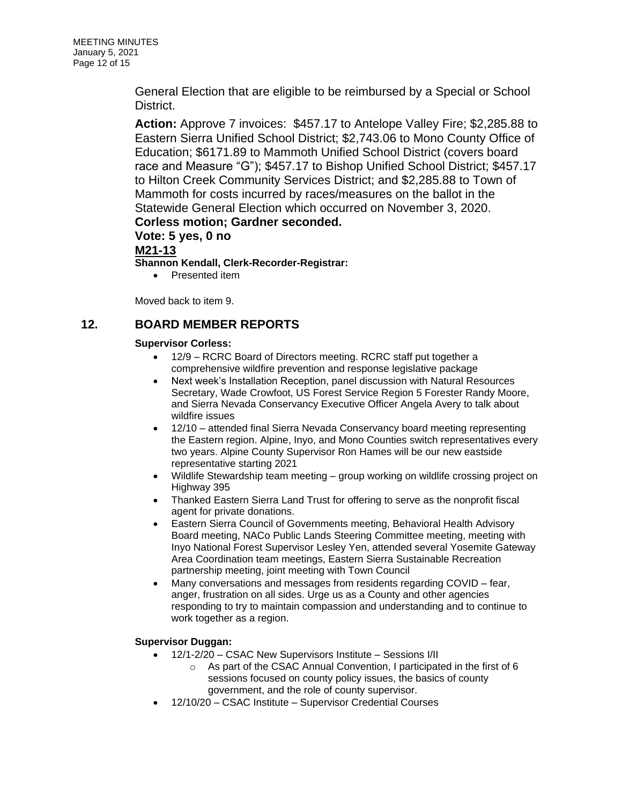General Election that are eligible to be reimbursed by a Special or School District.

**Action:** Approve 7 invoices: \$457.17 to Antelope Valley Fire; \$2,285.88 to Eastern Sierra Unified School District; \$2,743.06 to Mono County Office of Education; \$6171.89 to Mammoth Unified School District (covers board race and Measure "G"); \$457.17 to Bishop Unified School District; \$457.17 to Hilton Creek Community Services District; and \$2,285.88 to Town of Mammoth for costs incurred by races/measures on the ballot in the Statewide General Election which occurred on November 3, 2020. **Corless motion; Gardner seconded.**

**Vote: 5 yes, 0 no**

**M21-13**

**Shannon Kendall, Clerk-Recorder-Registrar:**

• Presented item

Moved back to item 9.

### **12. BOARD MEMBER REPORTS**

#### **Supervisor Corless:**

- 12/9 RCRC Board of Directors meeting. RCRC staff put together a comprehensive wildfire prevention and response legislative package
- Next week's Installation Reception, panel discussion with Natural Resources Secretary, Wade Crowfoot, US Forest Service Region 5 Forester Randy Moore, and Sierra Nevada Conservancy Executive Officer Angela Avery to talk about wildfire issues
- 12/10 attended final Sierra Nevada Conservancy board meeting representing the Eastern region. Alpine, Inyo, and Mono Counties switch representatives every two years. Alpine County Supervisor Ron Hames will be our new eastside representative starting 2021
- Wildlife Stewardship team meeting group working on wildlife crossing project on Highway 395
- Thanked Eastern Sierra Land Trust for offering to serve as the nonprofit fiscal agent for private donations.
- Eastern Sierra Council of Governments meeting, Behavioral Health Advisory Board meeting, NACo Public Lands Steering Committee meeting, meeting with Inyo National Forest Supervisor Lesley Yen, attended several Yosemite Gateway Area Coordination team meetings, Eastern Sierra Sustainable Recreation partnership meeting, joint meeting with Town Council
- Many conversations and messages from residents regarding COVID fear, anger, frustration on all sides. Urge us as a County and other agencies responding to try to maintain compassion and understanding and to continue to work together as a region.

#### **Supervisor Duggan:**

- 12/1-2/20 CSAC New Supervisors Institute Sessions I/II
	- o As part of the CSAC Annual Convention, I participated in the first of 6 sessions focused on county policy issues, the basics of county government, and the role of county supervisor.
- 12/10/20 CSAC Institute Supervisor Credential Courses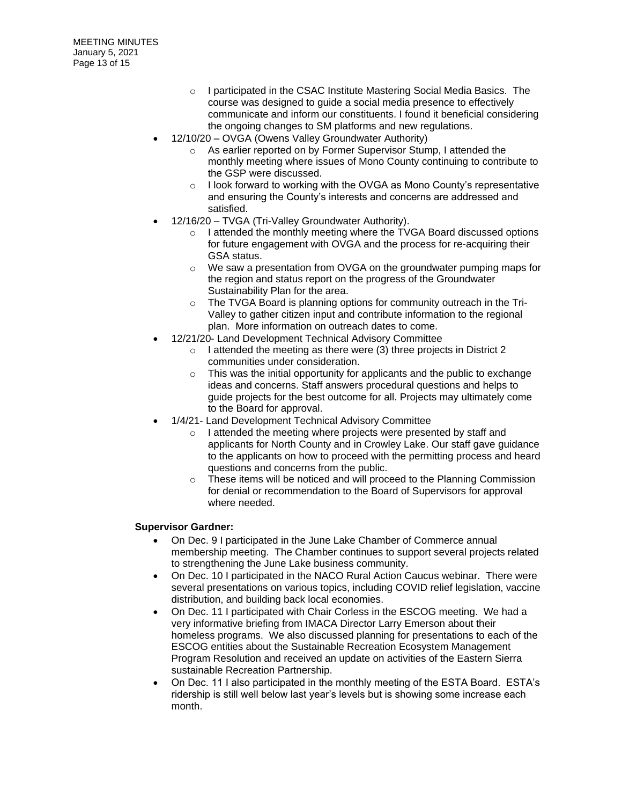- o I participated in the CSAC Institute Mastering Social Media Basics. The course was designed to guide a social media presence to effectively communicate and inform our constituents. I found it beneficial considering the ongoing changes to SM platforms and new regulations.
- 12/10/20 OVGA (Owens Valley Groundwater Authority)
	- o As earlier reported on by Former Supervisor Stump, I attended the monthly meeting where issues of Mono County continuing to contribute to the GSP were discussed.
	- o I look forward to working with the OVGA as Mono County's representative and ensuring the County's interests and concerns are addressed and satisfied.
- 12/16/20 TVGA (Tri-Valley Groundwater Authority).
	- o I attended the monthly meeting where the TVGA Board discussed options for future engagement with OVGA and the process for re-acquiring their GSA status.
	- o We saw a presentation from OVGA on the groundwater pumping maps for the region and status report on the progress of the Groundwater Sustainability Plan for the area.
	- o The TVGA Board is planning options for community outreach in the Tri-Valley to gather citizen input and contribute information to the regional plan. More information on outreach dates to come.
- 12/21/20- Land Development Technical Advisory Committee
	- $\circ$  I attended the meeting as there were (3) three projects in District 2 communities under consideration.
	- $\circ$  This was the initial opportunity for applicants and the public to exchange ideas and concerns. Staff answers procedural questions and helps to guide projects for the best outcome for all. Projects may ultimately come to the Board for approval.
- 1/4/21- Land Development Technical Advisory Committee
	- o I attended the meeting where projects were presented by staff and applicants for North County and in Crowley Lake. Our staff gave guidance to the applicants on how to proceed with the permitting process and heard questions and concerns from the public.
	- o These items will be noticed and will proceed to the Planning Commission for denial or recommendation to the Board of Supervisors for approval where needed.

#### **Supervisor Gardner:**

- On Dec. 9 I participated in the June Lake Chamber of Commerce annual membership meeting. The Chamber continues to support several projects related to strengthening the June Lake business community.
- On Dec. 10 I participated in the NACO Rural Action Caucus webinar. There were several presentations on various topics, including COVID relief legislation, vaccine distribution, and building back local economies.
- On Dec. 11 I participated with Chair Corless in the ESCOG meeting. We had a very informative briefing from IMACA Director Larry Emerson about their homeless programs. We also discussed planning for presentations to each of the ESCOG entities about the Sustainable Recreation Ecosystem Management Program Resolution and received an update on activities of the Eastern Sierra sustainable Recreation Partnership.
- On Dec. 11 I also participated in the monthly meeting of the ESTA Board. ESTA's ridership is still well below last year's levels but is showing some increase each month.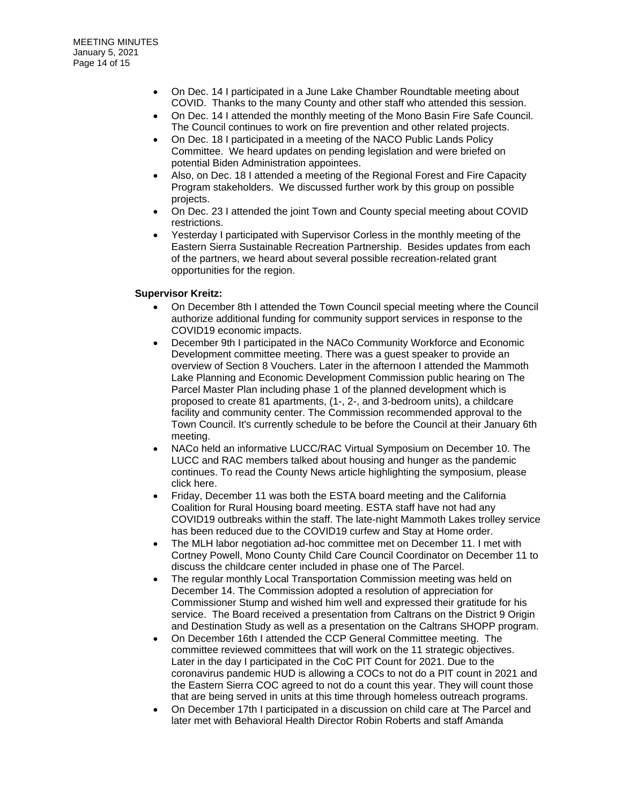- On Dec. 14 I participated in a June Lake Chamber Roundtable meeting about COVID. Thanks to the many County and other staff who attended this session.
- On Dec. 14 I attended the monthly meeting of the Mono Basin Fire Safe Council. The Council continues to work on fire prevention and other related projects.
- On Dec. 18 I participated in a meeting of the NACO Public Lands Policy Committee. We heard updates on pending legislation and were briefed on potential Biden Administration appointees.
- Also, on Dec. 18 I attended a meeting of the Regional Forest and Fire Capacity Program stakeholders. We discussed further work by this group on possible projects.
- On Dec. 23 I attended the joint Town and County special meeting about COVID restrictions.
- Yesterday I participated with Supervisor Corless in the monthly meeting of the Eastern Sierra Sustainable Recreation Partnership. Besides updates from each of the partners, we heard about several possible recreation-related grant opportunities for the region.

#### **Supervisor Kreitz:**

- On December 8th I attended the Town Council special meeting where the Council authorize additional funding for community support services in response to the COVID19 economic impacts.
- December 9th I participated in the NACo Community Workforce and Economic Development committee meeting. There was a guest speaker to provide an overview of Section 8 Vouchers. Later in the afternoon I attended the Mammoth Lake Planning and Economic Development Commission public hearing on The Parcel Master Plan including phase 1 of the planned development which is proposed to create 81 apartments, (1-, 2-, and 3-bedroom units), a childcare facility and community center. The Commission recommended approval to the Town Council. It's currently schedule to be before the Council at their January 6th meeting.
- NACo held an informative LUCC/RAC Virtual Symposium on December 10. The LUCC and RAC members talked about housing and hunger as the pandemic continues. To read the County News article highlighting the symposium, please click here.
- Friday, December 11 was both the ESTA board meeting and the California Coalition for Rural Housing board meeting. ESTA staff have not had any COVID19 outbreaks within the staff. The late-night Mammoth Lakes trolley service has been reduced due to the COVID19 curfew and Stay at Home order.
- The MLH labor negotiation ad-hoc committee met on December 11. I met with Cortney Powell, Mono County Child Care Council Coordinator on December 11 to discuss the childcare center included in phase one of The Parcel.
- The regular monthly Local Transportation Commission meeting was held on December 14. The Commission adopted a resolution of appreciation for Commissioner Stump and wished him well and expressed their gratitude for his service. The Board received a presentation from Caltrans on the District 9 Origin and Destination Study as well as a presentation on the Caltrans SHOPP program.
- On December 16th I attended the CCP General Committee meeting. The committee reviewed committees that will work on the 11 strategic objectives. Later in the day I participated in the CoC PIT Count for 2021. Due to the coronavirus pandemic HUD is allowing a COCs to not do a PIT count in 2021 and the Eastern Sierra COC agreed to not do a count this year. They will count those that are being served in units at this time through homeless outreach programs.
- On December 17th I participated in a discussion on child care at The Parcel and later met with Behavioral Health Director Robin Roberts and staff Amanda